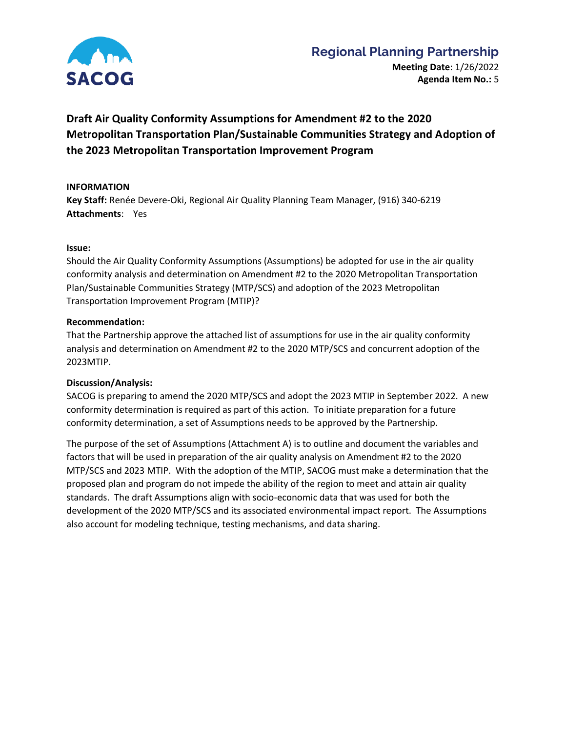

# **Regional Planning Partnership**

**Meeting Date**: 1/26/2022 **Agenda Item No.:** 5

# **Draft Air Quality Conformity Assumptions for Amendment #2 to the 2020 Metropolitan Transportation Plan/Sustainable Communities Strategy and Adoption of the 2023 Metropolitan Transportation Improvement Program**

## **INFORMATION**

**Key Staff:** Renée Devere-Oki, Regional Air Quality Planning Team Manager, (916) 340-6219 **Attachments**: Yes

#### **Issue:**

Should the Air Quality Conformity Assumptions (Assumptions) be adopted for use in the air quality conformity analysis and determination on Amendment #2 to the 2020 Metropolitan Transportation Plan/Sustainable Communities Strategy (MTP/SCS) and adoption of the 2023 Metropolitan Transportation Improvement Program (MTIP)?

#### **Recommendation:**

That the Partnership approve the attached list of assumptions for use in the air quality conformity analysis and determination on Amendment #2 to the 2020 MTP/SCS and concurrent adoption of the 2023MTIP.

### **Discussion/Analysis:**

SACOG is preparing to amend the 2020 MTP/SCS and adopt the 2023 MTIP in September 2022. A new conformity determination is required as part of this action. To initiate preparation for a future conformity determination, a set of Assumptions needs to be approved by the Partnership.

The purpose of the set of Assumptions (Attachment A) is to outline and document the variables and factors that will be used in preparation of the air quality analysis on Amendment #2 to the 2020 MTP/SCS and 2023 MTIP. With the adoption of the MTIP, SACOG must make a determination that the proposed plan and program do not impede the ability of the region to meet and attain air quality standards. The draft Assumptions align with socio-economic data that was used for both the development of the 2020 MTP/SCS and its associated environmental impact report. The Assumptions also account for modeling technique, testing mechanisms, and data sharing.